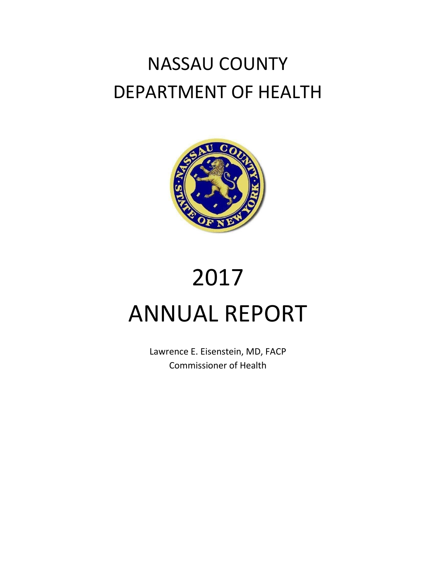# NASSAU COUNTY DEPARTMENT OF HEALTH



# 2017 ANNUAL REPORT

Lawrence E. Eisenstein, MD, FACP Commissioner of Health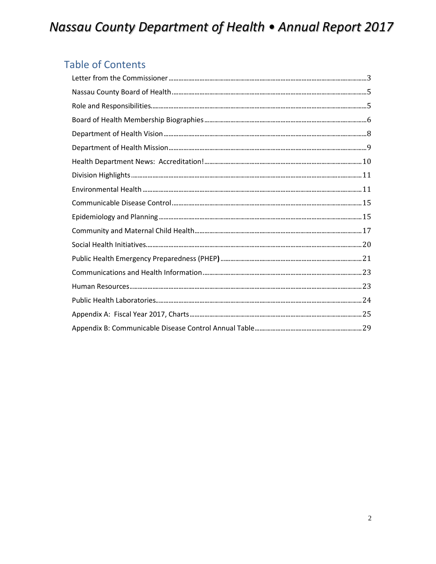### **Table of Contents**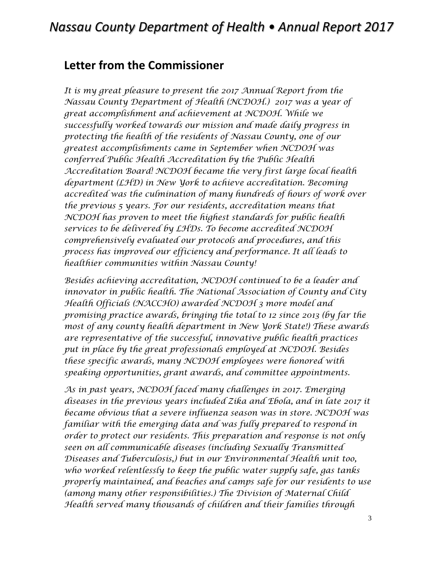### <span id="page-2-0"></span>**Letter from the Commissioner**

*It is my great pleasure to present the 2017 Annual Report from the Nassau County Department of Health (NCDOH.) 2017 was a year of great accomplishment and achievement at NCDOH. While we successfully worked towards our mission and made daily progress in protecting the health of the residents of Nassau County, one of our greatest accomplishments came in September when NCDOH was conferred Public Health Accreditation by the Public Health Accreditation Board! NCDOH became the very first large local health department (LHD) in New York to achieve accreditation. Becoming accredited was the culmination of many hundreds of hours of work over the previous 5 years. For our residents, accreditation means that NCDOH has proven to meet the highest standards for public health services to be delivered by LHDs. To become accredited NCDOH comprehensively evaluated our protocols and procedures, and this process has improved our efficiency and performance. It all leads to healthier communities within Nassau County!* 

*Besides achieving accreditation, NCDOH continued to be a leader and innovator in public health. The National Association of County and City Health Officials (NACCHO) awarded NCDOH 3 more model and promising practice awards, bringing the total to 12 since 2013 (by far the most of any county health department in New York State!) These awards are representative of the successful, innovative public health practices put in place by the great professionals employed at NCDOH. Besides these specific awards, many NCDOH employees were honored with speaking opportunities, grant awards, and committee appointments.* 

*As in past years, NCDOH faced many challenges in 2017. Emerging diseases in the previous years included Zika and Ebola, and in late 2017 it became obvious that a severe influenza season was in store. NCDOH was familiar with the emerging data and was fully prepared to respond in order to protect our residents. This preparation and response is not only seen on all communicable diseases (including Sexually Transmitted Diseases and Tuberculosis,) but in our Environmental Health unit too, who worked relentlessly to keep the public water supply safe, gas tanks properly maintained, and beaches and camps safe for our residents to use (among many other responsibilities.) The Division of Maternal Child Health served many thousands of children and their families through*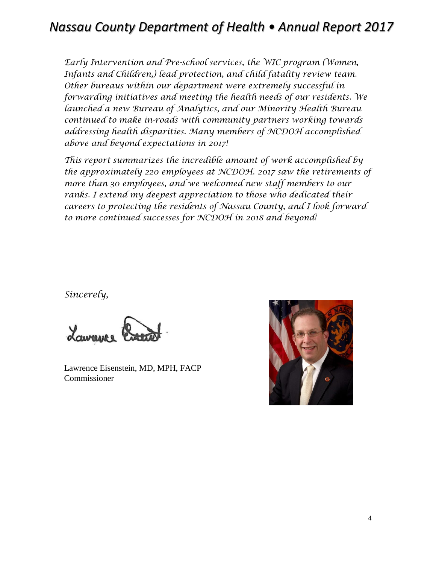*Early Intervention and Pre-school services, the WIC program (Women, Infants and Children,) lead protection, and child fatality review team. Other bureaus within our department were extremely successful in forwarding initiatives and meeting the health needs of our residents. We launched a new Bureau of Analytics, and our Minority Health Bureau continued to make in-roads with community partners working towards addressing health disparities. Many members of NCDOH accomplished above and beyond expectations in 2017!* 

*This report summarizes the incredible amount of work accomplished by the approximately 220 employees at NCDOH. 2017 saw the retirements of more than 30 employees, and we welcomed new staff members to our ranks. I extend my deepest appreciation to those who dedicated their careers to protecting the residents of Nassau County, and I look forward to more continued successes for NCDOH in 2018 and beyond!*

*Sincerely,*

Lawrence Eisenstein, MD, MPH, FACP Commissioner

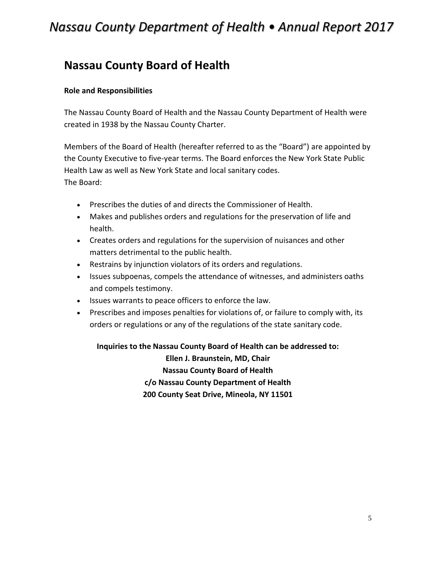### <span id="page-4-0"></span>**Nassau County Board of Health**

#### <span id="page-4-1"></span>**Role and Responsibilities**

The Nassau County Board of Health and the Nassau County Department of Health were created in 1938 by the Nassau County Charter.

Members of the Board of Health (hereafter referred to as the "Board") are appointed by the County Executive to five-year terms. The Board enforces the New York State Public Health Law as well as New York State and local sanitary codes. The Board:

- Prescribes the duties of and directs the Commissioner of Health.
- Makes and publishes orders and regulations for the preservation of life and health.
- Creates orders and regulations for the supervision of nuisances and other matters detrimental to the public health.
- Restrains by injunction violators of its orders and regulations.
- Issues subpoenas, compels the attendance of witnesses, and administers oaths and compels testimony.
- Issues warrants to peace officers to enforce the law.
- Prescribes and imposes penalties for violations of, or failure to comply with, its orders or regulations or any of the regulations of the state sanitary code.

**Inquiries to the Nassau County Board of Health can be addressed to:** 

**Ellen J. Braunstein, MD, Chair Nassau County Board of Health c/o Nassau County Department of Health 200 County Seat Drive, Mineola, NY 11501**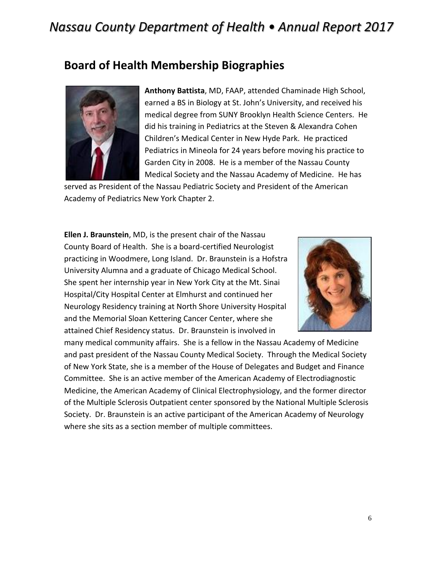### <span id="page-5-0"></span>**Board of Health Membership Biographies**



**Anthony Battista**, MD, FAAP, attended Chaminade High School, earned a BS in Biology at St. John's University, and received his medical degree from SUNY Brooklyn Health Science Centers. He did his training in Pediatrics at the Steven & Alexandra Cohen Children's Medical Center in New Hyde Park. He practiced Pediatrics in Mineola for 24 years before moving his practice to Garden City in 2008. He is a member of the Nassau County Medical Society and the Nassau Academy of Medicine. He has

served as President of the Nassau Pediatric Society and President of the American Academy of Pediatrics New York Chapter 2.

**Ellen J. Braunstein**, MD, is the present chair of the Nassau County Board of Health. She is a board-certified Neurologist practicing in Woodmere, Long Island. Dr. Braunstein is a Hofstra University Alumna and a graduate of Chicago Medical School. She spent her internship year in New York City at the Mt. Sinai Hospital/City Hospital Center at Elmhurst and continued her Neurology Residency training at North Shore University Hospital and the Memorial Sloan Kettering Cancer Center, where she attained Chief Residency status. Dr. Braunstein is involved in



many medical community affairs. She is a fellow in the Nassau Academy of Medicine and past president of the Nassau County Medical Society. Through the Medical Society of New York State, she is a member of the House of Delegates and Budget and Finance Committee. She is an active member of the American Academy of Electrodiagnostic Medicine, the American Academy of Clinical Electrophysiology, and the former director of the Multiple Sclerosis Outpatient center sponsored by the National Multiple Sclerosis Society. Dr. Braunstein is an active participant of the American Academy of Neurology where she sits as a section member of multiple committees.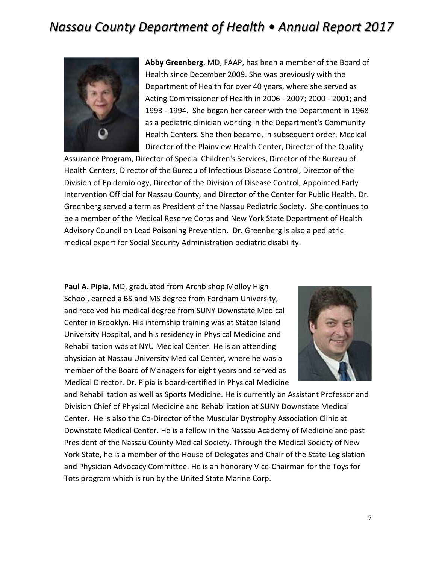

**Abby Greenberg**, MD, FAAP, has been a member of the Board of Health since December 2009. She was previously with the Department of Health for over 40 years, where she served as Acting Commissioner of Health in 2006 - 2007; 2000 - 2001; and 1993 - 1994. She began her career with the Department in 1968 as a pediatric clinician working in the Department's Community Health Centers. She then became, in subsequent order, Medical Director of the Plainview Health Center, Director of the Quality

Assurance Program, Director of Special Children's Services, Director of the Bureau of Health Centers, Director of the Bureau of Infectious Disease Control, Director of the Division of Epidemiology, Director of the Division of Disease Control, Appointed Early Intervention Official for Nassau County, and Director of the Center for Public Health. Dr. Greenberg served a term as President of the Nassau Pediatric Society. She continues to be a member of the Medical Reserve Corps and New York State Department of Health Advisory Council on Lead Poisoning Prevention. Dr. Greenberg is also a pediatric medical expert for Social Security Administration pediatric disability.

**Paul A. Pipia**, MD, graduated from Archbishop Molloy High School, earned a BS and MS degree from Fordham University, and received his medical degree from SUNY Downstate Medical Center in Brooklyn. His internship training was at Staten Island University Hospital, and his residency in Physical Medicine and Rehabilitation was at NYU Medical Center. He is an attending physician at Nassau University Medical Center, where he was a member of the Board of Managers for eight years and served as Medical Director. Dr. Pipia is board-certified in Physical Medicine



and Rehabilitation as well as Sports Medicine. He is currently an Assistant Professor and Division Chief of Physical Medicine and Rehabilitation at SUNY Downstate Medical Center. He is also the Co-Director of the Muscular Dystrophy Association Clinic at Downstate Medical Center. He is a fellow in the Nassau Academy of Medicine and past President of the Nassau County Medical Society. Through the Medical Society of New York State, he is a member of the House of Delegates and Chair of the State Legislation and Physician Advocacy Committee. He is an honorary Vice-Chairman for the Toys for Tots program which is run by the United State Marine Corp.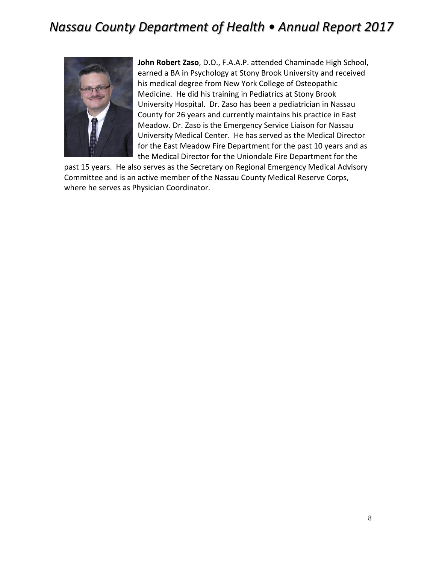

**John Robert Zaso**, D.O., F.A.A.P. attended Chaminade High School, earned a BA in Psychology at Stony Brook University and received his medical degree from New York College of Osteopathic Medicine. He did his training in Pediatrics at Stony Brook University Hospital. Dr. Zaso has been a pediatrician in Nassau County for 26 years and currently maintains his practice in East Meadow. Dr. Zaso is the Emergency Service Liaison for Nassau University Medical Center. He has served as the Medical Director for the East Meadow Fire Department for the past 10 years and as the Medical Director for the Uniondale Fire Department for the

<span id="page-7-0"></span>past 15 years. He also serves as the Secretary on Regional Emergency Medical Advisory Committee and is an active member of the Nassau County Medical Reserve Corps, where he serves as Physician Coordinator.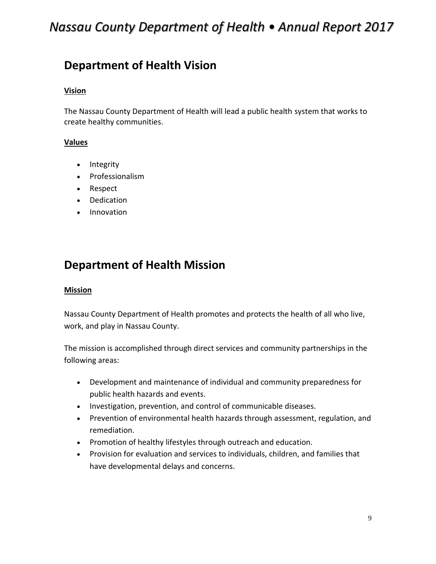### **Department of Health Vision**

#### **Vision**

The Nassau County Department of Health will lead a public health system that works to create healthy communities.

#### **Values**

- Integrity
- Professionalism
- Respect
- Dedication
- <span id="page-8-0"></span>• Innovation

### **Department of Health Mission**

#### **Mission**

Nassau County Department of Health promotes and protects the health of all who live, work, and play in Nassau County.

The mission is accomplished through direct services and community partnerships in the following areas:

- Development and maintenance of individual and community preparedness for public health hazards and events.
- Investigation, prevention, and control of communicable diseases.
- Prevention of environmental health hazards through assessment, regulation, and remediation.
- Promotion of healthy lifestyles through outreach and education.
- Provision for evaluation and services to individuals, children, and families that have developmental delays and concerns.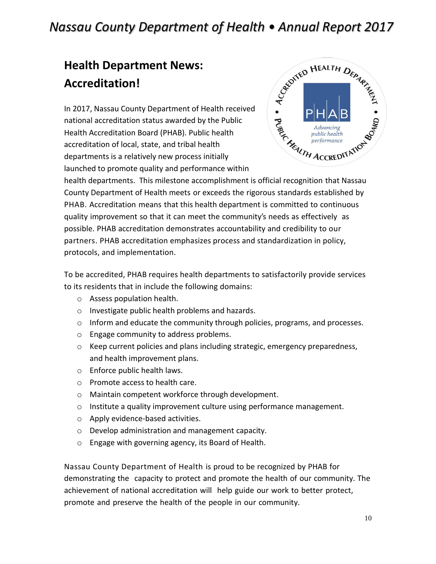# <span id="page-9-0"></span>**Health Department News: Accreditation!**

In 2017, Nassau County Department of Health received national accreditation status awarded by the Public Health Accreditation Board (PHAB). Public health accreditation of local, state, and tribal health departments is a relatively new process initially launched to promote quality and performance within



health departments. This milestone accomplishment is official recognition that Nassau County Department of Health meets or exceeds the rigorous standards established by PHAB. Accreditation means that this health department is committed to continuous quality improvement so that it can meet the community's needs as effectively as possible. PHAB accreditation demonstrates accountability and credibility to our partners. PHAB accreditation emphasizes process and standardization in policy, protocols, and implementation.

To be accredited, PHAB requires health departments to satisfactorily provide services to its residents that in include the following domains:

- o Assess population health.
- o Investigate public health problems and hazards.
- o Inform and educate the community through policies, programs, and processes.
- o Engage community to address problems.
- o Keep current policies and plans including strategic, emergency preparedness, and health improvement plans.
- o Enforce public health laws.
- o Promote access to health care.
- o Maintain competent workforce through development.
- $\circ$  Institute a quality improvement culture using performance management.
- o Apply evidence-based activities.
- o Develop administration and management capacity.
- o Engage with governing agency, its Board of Health.

Nassau County Department of Health is proud to be recognized by PHAB for demonstrating the capacity to protect and promote the health of our community. The achievement of national accreditation will help guide our work to better protect, promote and preserve the health of the people in our community.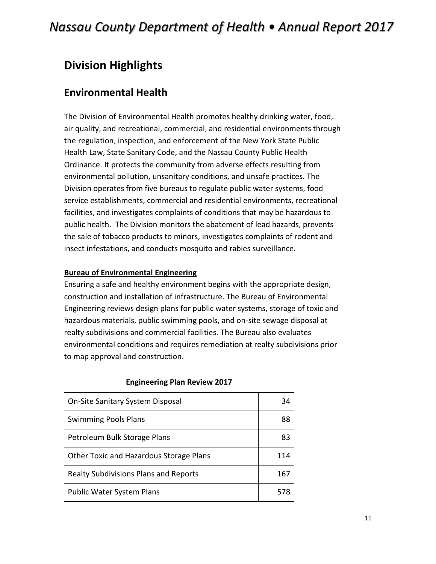### <span id="page-10-0"></span>**Division Highlights**

### <span id="page-10-1"></span>**Environmental Health**

The Division of Environmental Health promotes healthy drinking water, food, air quality, and recreational, commercial, and residential environments through the regulation, inspection, and enforcement of the New York State Public Health Law, State Sanitary Code, and the Nassau County Public Health Ordinance. It protects the community from adverse effects resulting from environmental pollution, unsanitary conditions, and unsafe practices. The Division operates from five bureaus to regulate public water systems, food service establishments, commercial and residential environments, recreational facilities, and investigates complaints of conditions that may be hazardous to public health. The Division monitors the abatement of lead hazards, prevents the sale of tobacco products to minors, investigates complaints of rodent and insect infestations, and conducts mosquito and rabies surveillance.

#### **Bureau of Environmental Engineering**

Ensuring a safe and healthy environment begins with the appropriate design, construction and installation of infrastructure. The Bureau of Environmental Engineering reviews design plans for public water systems, storage of toxic and hazardous materials, public swimming pools, and on-site sewage disposal at realty subdivisions and commercial facilities. The Bureau also evaluates environmental conditions and requires remediation at realty subdivisions prior to map approval and construction.

| On-Site Sanitary System Disposal             | 34  |
|----------------------------------------------|-----|
| <b>Swimming Pools Plans</b>                  | 88  |
| Petroleum Bulk Storage Plans                 | 83  |
| Other Toxic and Hazardous Storage Plans      | 114 |
| <b>Realty Subdivisions Plans and Reports</b> | 167 |
| <b>Public Water System Plans</b>             |     |

#### **Engineering Plan Review 2017**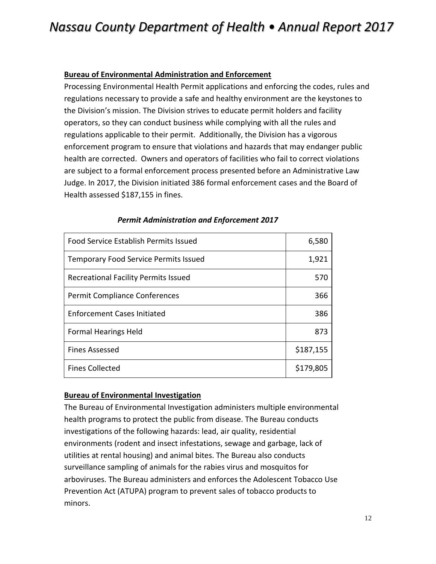#### **Bureau of Environmental Administration and Enforcement**

Processing Environmental Health Permit applications and enforcing the codes, rules and regulations necessary to provide a safe and healthy environment are the keystones to the Division's mission. The Division strives to educate permit holders and facility operators, so they can conduct business while complying with all the rules and regulations applicable to their permit. Additionally, the Division has a vigorous enforcement program to ensure that violations and hazards that may endanger public health are corrected. Owners and operators of facilities who fail to correct violations are subject to a formal enforcement process presented before an Administrative Law Judge. In 2017, the Division initiated 386 formal enforcement cases and the Board of Health assessed \$187,155 in fines.

| <b>Food Service Establish Permits Issued</b> | 6,580     |
|----------------------------------------------|-----------|
| <b>Temporary Food Service Permits Issued</b> | 1,921     |
| Recreational Facility Permits Issued         | 570       |
| Permit Compliance Conferences                | 366       |
| <b>Enforcement Cases Initiated</b>           | 386       |
| <b>Formal Hearings Held</b>                  | 873       |
| <b>Fines Assessed</b>                        | \$187,155 |
| <b>Fines Collected</b>                       | \$179,805 |

#### *Permit Administration and Enforcement 2017*

#### **Bureau of Environmental Investigation**

The Bureau of Environmental Investigation administers multiple environmental health programs to protect the public from disease. The Bureau conducts investigations of the following hazards: lead, air quality, residential environments (rodent and insect infestations, sewage and garbage, lack of utilities at rental housing) and animal bites. The Bureau also conducts surveillance sampling of animals for the rabies virus and mosquitos for arboviruses. The Bureau administers and enforces the Adolescent Tobacco Use Prevention Act (ATUPA) program to prevent sales of tobacco products to minors.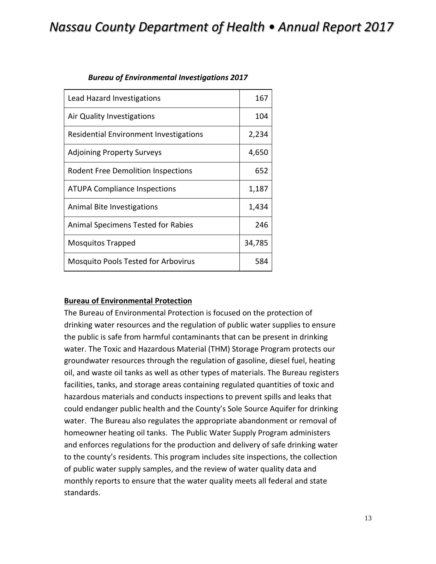| Lead Hazard Investigations                    | 167    |
|-----------------------------------------------|--------|
| Air Quality Investigations                    | 104    |
| <b>Residential Environment Investigations</b> | 2,234  |
| <b>Adjoining Property Surveys</b>             | 4,650  |
| <b>Rodent Free Demolition Inspections</b>     | 652    |
| <b>ATUPA Compliance Inspections</b>           | 1,187  |
| Animal Bite Investigations                    | 1,434  |
| Animal Specimens Tested for Rabies            | 246    |
| Mosquitos Trapped                             | 34,785 |
| <b>Mosquito Pools Tested for Arbovirus</b>    | 584    |

#### *Bureau of Environmental Investigations 2017*

#### **Bureau of Environmental Protection**

The Bureau of Environmental Protection is focused on the protection of drinking water resources and the regulation of public water supplies to ensure the public is safe from harmful contaminants that can be present in drinking water. The Toxic and Hazardous Material (THM) Storage Program protects our groundwater resources through the regulation of gasoline, diesel fuel, heating oil, and waste oil tanks as well as other types of materials. The Bureau registers facilities, tanks, and storage areas containing regulated quantities of toxic and hazardous materials and conducts inspections to prevent spills and leaks that could endanger public health and the County's Sole Source Aquifer for drinking water. The Bureau also regulates the appropriate abandonment or removal of homeowner heating oil tanks. The Public Water Supply Program administers and enforces regulations for the production and delivery of safe drinking water to the county's residents. This program includes site inspections, the collection of public water supply samples, and the review of water quality data and monthly reports to ensure that the water quality meets all federal and state standards.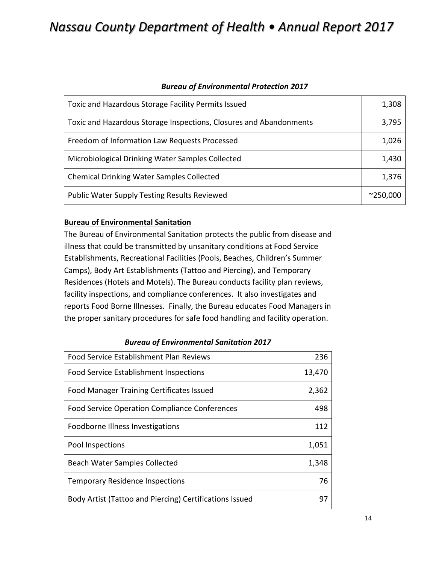#### *Bureau of Environmental Protection 2017*

| Toxic and Hazardous Storage Facility Permits Issued                | 1,308             |
|--------------------------------------------------------------------|-------------------|
| Toxic and Hazardous Storage Inspections, Closures and Abandonments | 3,795             |
| Freedom of Information Law Requests Processed                      | 1,026             |
| Microbiological Drinking Water Samples Collected                   | 1,430             |
| <b>Chemical Drinking Water Samples Collected</b>                   | 1,376             |
| <b>Public Water Supply Testing Results Reviewed</b>                | $^{\sim}$ 250,000 |

#### **Bureau of Environmental Sanitation**

The Bureau of Environmental Sanitation protects the public from disease and illness that could be transmitted by unsanitary conditions at Food Service Establishments, Recreational Facilities (Pools, Beaches, Children's Summer Camps), Body Art Establishments (Tattoo and Piercing), and Temporary Residences (Hotels and Motels). The Bureau conducts facility plan reviews, facility inspections, and compliance conferences. It also investigates and reports Food Borne Illnesses. Finally, the Bureau educates Food Managers in the proper sanitary procedures for safe food handling and facility operation.

| <b>Food Service Establishment Plan Reviews</b>          | 236    |
|---------------------------------------------------------|--------|
| <b>Food Service Establishment Inspections</b>           | 13,470 |
| <b>Food Manager Training Certificates Issued</b>        | 2,362  |
| <b>Food Service Operation Compliance Conferences</b>    | 498    |
| Foodborne Illness Investigations                        | 112    |
| Pool Inspections                                        | 1,051  |
| <b>Beach Water Samples Collected</b>                    | 1,348  |
| <b>Temporary Residence Inspections</b>                  | 76     |
| Body Artist (Tattoo and Piercing) Certifications Issued | 97     |

#### *Bureau of Environmental Sanitation 2017*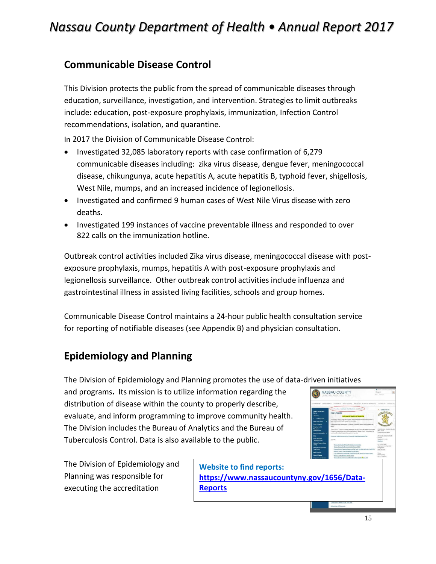### <span id="page-14-0"></span>**Communicable Disease Control**

This Division protects the public from the spread of communicable diseases through education, surveillance, investigation, and intervention. Strategies to limit outbreaks include: education, post-exposure prophylaxis, immunization, Infection Control recommendations, isolation, and quarantine.

In 2017 the Division of Communicable Disease Control:

- Investigated 32,085 laboratory reports with case confirmation of 6,279 communicable diseases including: zika virus disease, dengue fever, meningococcal disease, chikungunya, acute hepatitis A, acute hepatitis B, typhoid fever, shigellosis, West Nile, mumps, and an increased incidence of legionellosis.
- Investigated and confirmed 9 human cases of West Nile Virus disease with zero deaths.
- Investigated 199 instances of vaccine preventable illness and responded to over 822 calls on the immunization hotline.

Outbreak control activities included Zika virus disease, meningococcal disease with postexposure prophylaxis, mumps, hepatitis A with post-exposure prophylaxis and legionellosis surveillance. Other outbreak control activities include influenza and gastrointestinal illness in assisted living facilities, schools and group homes.

Communicable Disease Control maintains a 24-hour public health consultation service for reporting of notifiable diseases (see Appendix B) and physician consultation.

### <span id="page-14-1"></span>**Epidemiology and Planning**

The Division of Epidemiology and Planning promotes the use of data-driven initiatives

and programs**.** Its mission is to utilize information regarding the distribution of disease within the county to properly describe, evaluate, and inform programming to improve community health. The Division includes the Bureau of Analytics and the Bureau of Tuberculosis Control. Data is also available to the public.

The Division of Epidemiology and Planning was responsible for executing the accreditation



NASSAU COUNTY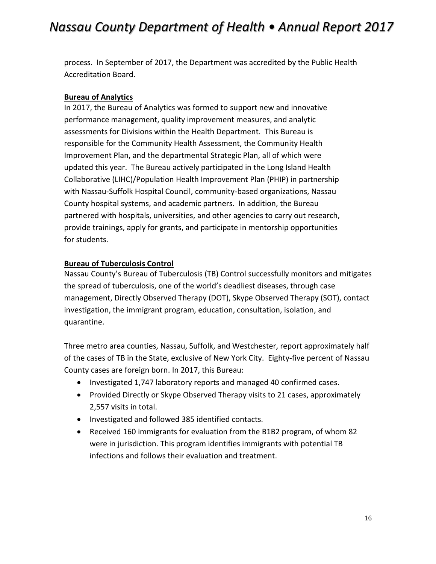process. In September of 2017, the Department was accredited by the Public Health Accreditation Board.

#### **Bureau of Analytics**

In 2017, the Bureau of Analytics was formed to support new and innovative performance management, quality improvement measures, and analytic assessments for Divisions within the Health Department. This Bureau is responsible for the Community Health Assessment, the Community Health Improvement Plan, and the departmental Strategic Plan, all of which were updated this year. The Bureau actively participated in the Long Island Health Collaborative (LIHC)/Population Health Improvement Plan (PHIP) in partnership with Nassau-Suffolk Hospital Council, community-based organizations, Nassau County hospital systems, and academic partners. In addition, the Bureau partnered with hospitals, universities, and other agencies to carry out research, provide trainings, apply for grants, and participate in mentorship opportunities for students.

#### **Bureau of Tuberculosis Control**

Nassau County's Bureau of Tuberculosis (TB) Control successfully monitors and mitigates the spread of tuberculosis, one of the world's deadliest diseases, through case management, Directly Observed Therapy (DOT), Skype Observed Therapy (SOT), contact investigation, the immigrant program, education, consultation, isolation, and quarantine.

Three metro area counties, Nassau, Suffolk, and Westchester, report approximately half of the cases of TB in the State, exclusive of New York City. Eighty-five percent of Nassau County cases are foreign born. In 2017, this Bureau:

- Investigated 1,747 laboratory reports and managed 40 confirmed cases.
- Provided Directly or Skype Observed Therapy visits to 21 cases, approximately 2,557 visits in total.
- Investigated and followed 385 identified contacts.
- <span id="page-15-0"></span>• Received 160 immigrants for evaluation from the B1B2 program, of whom 82 were in jurisdiction. This program identifies immigrants with potential TB infections and follows their evaluation and treatment.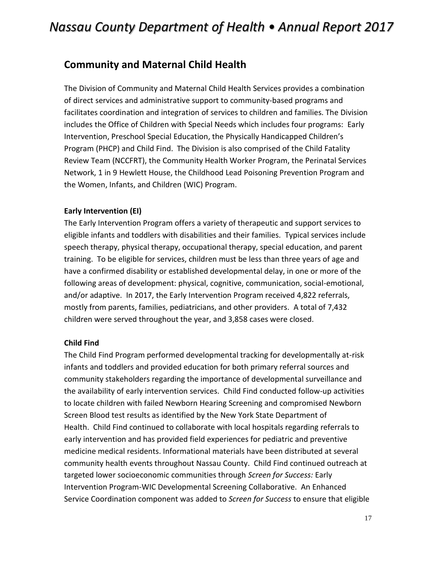### **Community and Maternal Child Health**

The Division of Community and Maternal Child Health Services provides a combination of direct services and administrative support to community-based programs and facilitates coordination and integration of services to children and families. The Division includes the Office of Children with Special Needs which includes four programs: Early Intervention, Preschool Special Education, the Physically Handicapped Children's Program (PHCP) and Child Find. The Division is also comprised of the Child Fatality Review Team (NCCFRT), the Community Health Worker Program, the Perinatal Services Network, 1 in 9 Hewlett House, the Childhood Lead Poisoning Prevention Program and the Women, Infants, and Children (WIC) Program.

#### **Early Intervention (EI)**

The Early Intervention Program offers a variety of therapeutic and support services to eligible infants and toddlers with disabilities and their families. Typical services include speech therapy, physical therapy, occupational therapy, special education, and parent training. To be eligible for services, children must be less than three years of age and have a confirmed disability or established developmental delay, in one or more of the following areas of development: physical, cognitive, communication, social-emotional, and/or adaptive. In 2017, the Early Intervention Program received 4,822 referrals, mostly from parents, families, pediatricians, and other providers. A total of 7,432 children were served throughout the year, and 3,858 cases were closed.

#### **Child Find**

The Child Find Program performed developmental tracking for developmentally at-risk infants and toddlers and provided education for both primary referral sources and community stakeholders regarding the importance of developmental surveillance and the availability of early intervention services. Child Find conducted follow-up activities to locate children with failed Newborn Hearing Screening and compromised Newborn Screen Blood test results as identified by the New York State Department of Health. Child Find continued to collaborate with local hospitals regarding referrals to early intervention and has provided field experiences for pediatric and preventive medicine medical residents. Informational materials have been distributed at several community health events throughout Nassau County. Child Find continued outreach at targeted lower socioeconomic communities through *Screen for Success:* Early Intervention Program-WIC Developmental Screening Collaborative. An Enhanced Service Coordination component was added to *Screen for Success* to ensure that eligible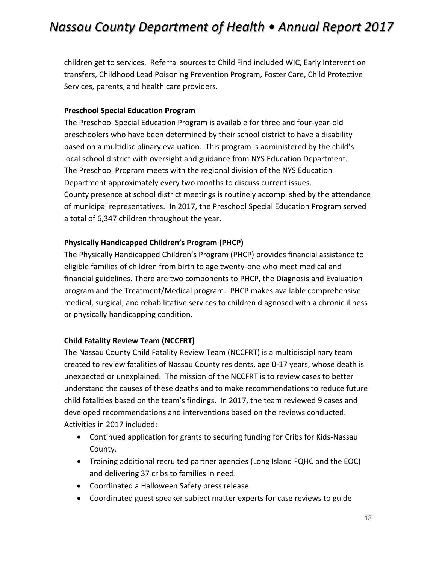children get to services. Referral sources to Child Find included WIC, Early Intervention transfers, Childhood Lead Poisoning Prevention Program, Foster Care, Child Protective Services, parents, and health care providers.

#### **Preschool Special Education Program**

The Preschool Special Education Program is available for three and four-year-old preschoolers who have been determined by their school district to have a disability based on a multidisciplinary evaluation. This program is administered by the child's local school district with oversight and guidance from NYS Education Department. The Preschool Program meets with the regional division of the NYS Education Department approximately every two months to discuss current issues. County presence at school district meetings is routinely accomplished by the attendance of municipal representatives. In 2017, the Preschool Special Education Program served a total of 6,347 children throughout the year.

#### **Physically Handicapped Children's Program (PHCP)**

The Physically Handicapped Children's Program (PHCP) provides financial assistance to eligible families of children from birth to age twenty-one who meet medical and financial guidelines. There are two components to PHCP, the Diagnosis and Evaluation program and the Treatment/Medical program. PHCP makes available comprehensive medical, surgical, and rehabilitative services to children diagnosed with a chronic illness or physically handicapping condition.

#### **Child Fatality Review Team (NCCFRT)**

The Nassau County Child Fatality Review Team (NCCFRT) is a multidisciplinary team created to review fatalities of Nassau County residents, age 0-17 years, whose death is unexpected or unexplained. The mission of the NCCFRT is to review cases to better understand the causes of these deaths and to make recommendations to reduce future child fatalities based on the team's findings. In 2017, the team reviewed 9 cases and developed recommendations and interventions based on the reviews conducted. Activities in 2017 included:

- Continued application for grants to securing funding for Cribs for Kids-Nassau County.
- Training additional recruited partner agencies (Long Island FQHC and the EOC) and delivering 37 cribs to families in need.
- Coordinated a Halloween Safety press release.
- Coordinated guest speaker subject matter experts for case reviews to guide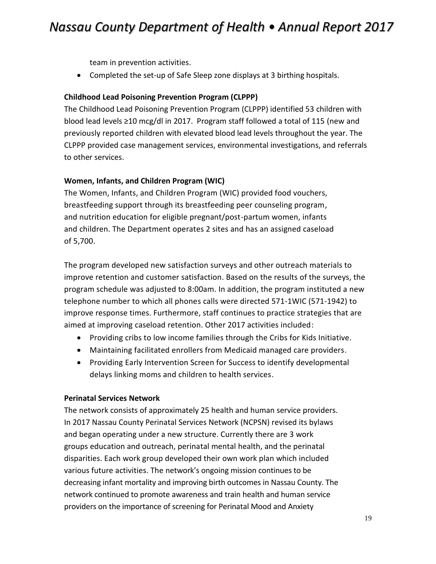team in prevention activities.

• Completed the set-up of Safe Sleep zone displays at 3 birthing hospitals.

#### **Childhood Lead Poisoning Prevention Program (CLPPP)**

The Childhood Lead Poisoning Prevention Program (CLPPP) identified 53 children with blood lead levels ≥10 mcg/dl in 2017. Program staff followed a total of 115 (new and previously reported children with elevated blood lead levels throughout the year. The CLPPP provided case management services, environmental investigations, and referrals to other services.

#### **Women, Infants, and Children Program (WIC)**

The Women, Infants, and Children Program (WIC) provided food vouchers, breastfeeding support through its breastfeeding peer counseling program, and nutrition education for eligible pregnant/post-partum women, infants and children. The Department operates 2 sites and has an assigned caseload of 5,700.

The program developed new satisfaction surveys and other outreach materials to improve retention and customer satisfaction. Based on the results of the surveys, the program schedule was adjusted to 8:00am. In addition, the program instituted a new telephone number to which all phones calls were directed 571-1WIC (571-1942) to improve response times. Furthermore, staff continues to practice strategies that are aimed at improving caseload retention. Other 2017 activities included:

- Providing cribs to low income families through the Cribs for Kids Initiative.
- Maintaining facilitated enrollers from Medicaid managed care providers.
- Providing Early Intervention Screen for Success to identify developmental delays linking moms and children to health services.

#### **Perinatal Services Network**

The network consists of approximately 25 health and human service providers. In 2017 Nassau County Perinatal Services Network (NCPSN) revised its bylaws and began operating under a new structure. Currently there are 3 work groups education and outreach, perinatal mental health, and the perinatal disparities. Each work group developed their own work plan which included various future activities. The network's ongoing mission continues to be decreasing infant mortality and improving birth outcomes in Nassau County. The network continued to promote awareness and train health and human service providers on the importance of screening for Perinatal Mood and Anxiety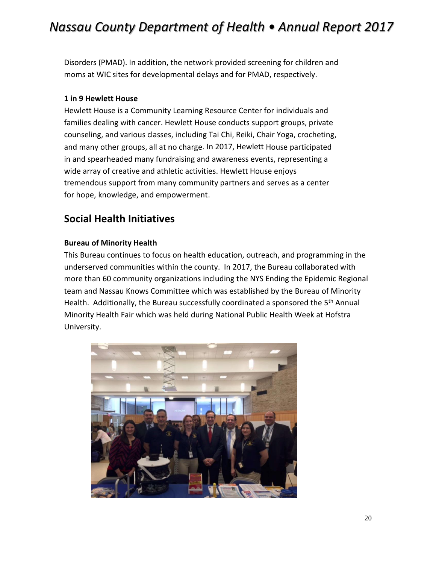Disorders (PMAD). In addition, the network provided screening for children and moms at WIC sites for developmental delays and for PMAD, respectively.

#### **1 in 9 Hewlett House**

Hewlett House is a Community Learning Resource Center for individuals and families dealing with cancer. Hewlett House conducts support groups, private counseling, and various classes, including Tai Chi, Reiki, Chair Yoga, crocheting, and many other groups, all at no charge. In 2017, Hewlett House participated in and spearheaded many fundraising and awareness events, representing a wide array of creative and athletic activities. Hewlett House enjoys tremendous support from many community partners and serves as a center for hope, knowledge, and empowerment.

### <span id="page-19-0"></span>**Social Health Initiatives**

#### **Bureau of Minority Health**

This Bureau continues to focus on health education, outreach, and programming in the underserved communities within the county. In 2017, the Bureau collaborated with more than 60 community organizations including the NYS Ending the Epidemic Regional team and Nassau Knows Committee which was established by the Bureau of Minority Health. Additionally, the Bureau successfully coordinated a sponsored the 5<sup>th</sup> Annual Minority Health Fair which was held during National Public Health Week at Hofstra University.

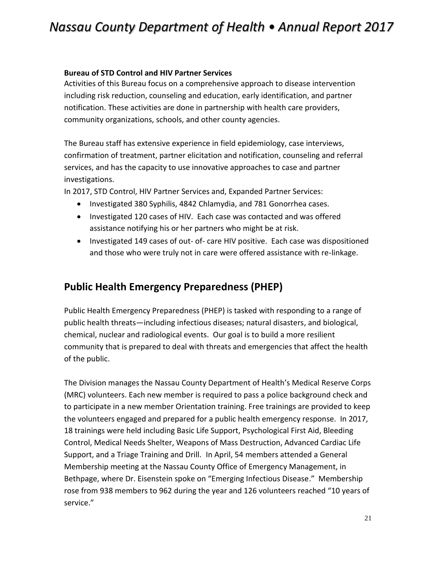#### **Bureau of STD Control and HIV Partner Services**

Activities of this Bureau focus on a comprehensive approach to disease intervention including risk reduction, counseling and education, early identification, and partner notification. These activities are done in partnership with health care providers, community organizations, schools, and other county agencies.

The Bureau staff has extensive experience in field epidemiology, case interviews, confirmation of treatment, partner elicitation and notification, counseling and referral services, and has the capacity to use innovative approaches to case and partner investigations.

In 2017, STD Control, HIV Partner Services and, Expanded Partner Services:

- Investigated 380 Syphilis, 4842 Chlamydia, and 781 Gonorrhea cases.
- Investigated 120 cases of HIV. Each case was contacted and was offered assistance notifying his or her partners who might be at risk.
- Investigated 149 cases of out- of- care HIV positive. Each case was dispositioned and those who were truly not in care were offered assistance with re-linkage.

### <span id="page-20-0"></span>**Public Health Emergency Preparedness (PHEP)**

Public Health Emergency Preparedness (PHEP) is tasked with responding to a range of public health threats—including infectious diseases; natural disasters, and biological, chemical, nuclear and radiological events. Our goal is to build a more resilient community that is prepared to deal with threats and emergencies that affect the health of the public.

The Division manages the Nassau County Department of Health's Medical Reserve Corps (MRC) volunteers. Each new member is required to pass a police background check and to participate in a new member Orientation training. Free trainings are provided to keep the volunteers engaged and prepared for a public health emergency response. In 2017, 18 trainings were held including Basic Life Support, Psychological First Aid, Bleeding Control, Medical Needs Shelter, Weapons of Mass Destruction, Advanced Cardiac Life Support, and a Triage Training and Drill. In April, 54 members attended a General Membership meeting at the Nassau County Office of Emergency Management, in Bethpage, where Dr. Eisenstein spoke on "Emerging Infectious Disease." Membership rose from 938 members to 962 during the year and 126 volunteers reached "10 years of service."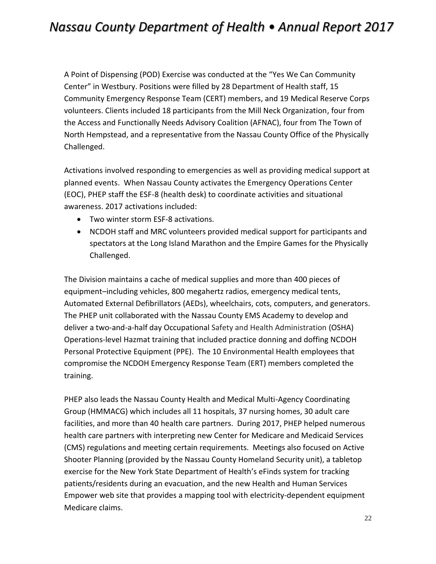A Point of Dispensing (POD) Exercise was conducted at the "Yes We Can Community Center" in Westbury. Positions were filled by 28 Department of Health staff, 15 Community Emergency Response Team (CERT) members, and 19 Medical Reserve Corps volunteers. Clients included 18 participants from the Mill Neck Organization, four from the Access and Functionally Needs Advisory Coalition (AFNAC), four from The Town of North Hempstead, and a representative from the Nassau County Office of the Physically Challenged.

Activations involved responding to emergencies as well as providing medical support at planned events. When Nassau County activates the Emergency Operations Center (EOC), PHEP staff the ESF-8 (health desk) to coordinate activities and situational awareness. 2017 activations included:

- Two winter storm ESF-8 activations.
- NCDOH staff and MRC volunteers provided medical support for participants and spectators at the Long Island Marathon and the Empire Games for the Physically Challenged.

The Division maintains a cache of medical supplies and more than 400 pieces of equipment–including vehicles, 800 megahertz radios, emergency medical tents, Automated External Defibrillators (AEDs), wheelchairs, cots, computers, and generators. The PHEP unit collaborated with the Nassau County EMS Academy to develop and deliver a two-and-a-half day Occupational Safety and Health Administration (OSHA) Operations-level Hazmat training that included practice donning and doffing NCDOH Personal Protective Equipment (PPE). The 10 Environmental Health employees that compromise the NCDOH Emergency Response Team (ERT) members completed the training.

PHEP also leads the Nassau County Health and Medical Multi-Agency Coordinating Group (HMMACG) which includes all 11 hospitals, 37 nursing homes, 30 adult care facilities, and more than 40 health care partners. During 2017, PHEP helped numerous health care partners with interpreting new Center for Medicare and Medicaid Services (CMS) regulations and meeting certain requirements. Meetings also focused on Active Shooter Planning (provided by the Nassau County Homeland Security unit), a tabletop exercise for the New York State Department of Health's eFinds system for tracking patients/residents during an evacuation, and the new Health and Human Services Empower web site that provides a mapping tool with electricity-dependent equipment Medicare claims.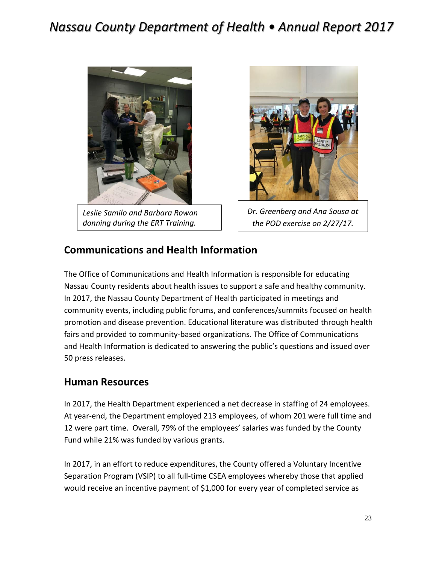

*Leslie Samilo and Barbara Rowan donning during the ERT Training.*



*Dr. Greenberg and Ana Sousa at the POD exercise on 2/27/17.*

### <span id="page-22-0"></span>**Communications and Health Information**

The Office of Communications and Health Information is responsible for educating Nassau County residents about health issues to support a safe and healthy community. In 2017, the Nassau County Department of Health participated in meetings and community events, including public forums, and conferences/summits focused on health promotion and disease prevention. Educational literature was distributed through health fairs and provided to community-based organizations. The Office of Communications and Health Information is dedicated to answering the public's questions and issued over 50 press releases.

#### <span id="page-22-1"></span>**Human Resources**

In 2017, the Health Department experienced a net decrease in staffing of 24 employees. At year-end, the Department employed 213 employees, of whom 201 were full time and 12 were part time. Overall, 79% of the employees' salaries was funded by the County Fund while 21% was funded by various grants.

In 2017, in an effort to reduce expenditures, the County offered a Voluntary Incentive Separation Program (VSIP) to all full-time CSEA employees whereby those that applied would receive an incentive payment of \$1,000 for every year of completed service as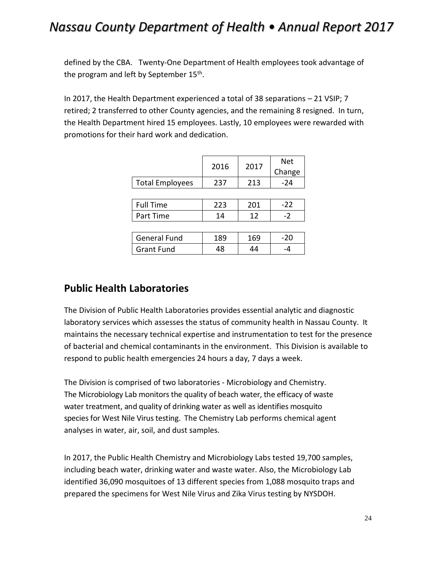defined by the CBA. Twenty-One Department of Health employees took advantage of the program and left by September 15<sup>th</sup>.

In 2017, the Health Department experienced a total of 38 separations – 21 VSIP; 7 retired; 2 transferred to other County agencies, and the remaining 8 resigned. In turn, the Health Department hired 15 employees. Lastly, 10 employees were rewarded with promotions for their hard work and dedication.

|                        | 2016 | 2017 | <b>Net</b> |
|------------------------|------|------|------------|
|                        |      |      | Change     |
| <b>Total Employees</b> | 237  | 213  | $-24$      |
|                        |      |      |            |
| <b>Full Time</b>       | 223  | 201  | $-22$      |
| Part Time              | 14   | 12   | $-2$       |
|                        |      |      |            |
| <b>General Fund</b>    | 189  | 169  | $-20$      |
| <b>Grant Fund</b>      | 48   | 44   |            |

### <span id="page-23-0"></span>**Public Health Laboratories**

The Division of Public Health Laboratories provides essential analytic and diagnostic laboratory services which assesses the status of community health in Nassau County. It maintains the necessary technical expertise and instrumentation to test for the presence of bacterial and chemical contaminants in the environment. This Division is available to respond to public health emergencies 24 hours a day, 7 days a week.

The Division is comprised of two laboratories - Microbiology and Chemistry. The Microbiology Lab monitors the quality of beach water, the efficacy of waste water treatment, and quality of drinking water as well as identifies mosquito species for West Nile Virus testing. The Chemistry Lab performs chemical agent analyses in water, air, soil, and dust samples.

In 2017, the Public Health Chemistry and Microbiology Labs tested 19,700 samples, including beach water, drinking water and waste water. Also, the Microbiology Lab identified 36,090 mosquitoes of 13 different species from 1,088 mosquito traps and prepared the specimens for West Nile Virus and Zika Virus testing by NYSDOH.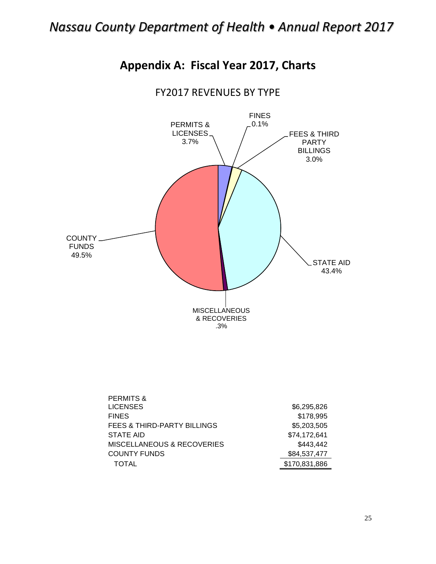

<span id="page-24-0"></span>

### FY2017 REVENUES BY TYPE

| \$6,295,826   |
|---------------|
| \$178,995     |
| \$5,203,505   |
| \$74,172,641  |
| \$443,442     |
| \$84,537,477  |
| \$170,831,886 |
|               |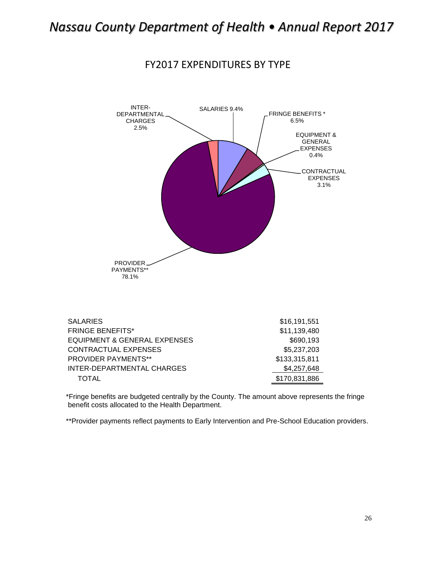



| <b>SALARIES</b>                         | \$16,191,551  |
|-----------------------------------------|---------------|
| <b>FRINGE BENEFITS*</b>                 | \$11,139,480  |
| <b>EQUIPMENT &amp; GENERAL EXPENSES</b> | \$690,193     |
| <b>CONTRACTUAL EXPENSES</b>             | \$5,237,203   |
| <b>PROVIDER PAYMENTS**</b>              | \$133,315,811 |
| <b>INTER-DEPARTMENTAL CHARGES</b>       | \$4,257,648   |
| TOTAL                                   | \$170,831,886 |

\*Fringe benefits are budgeted centrally by the County. The amount above represents the fringe benefit costs allocated to the Health Department.

\*\*Provider payments reflect payments to Early Intervention and Pre-School Education providers.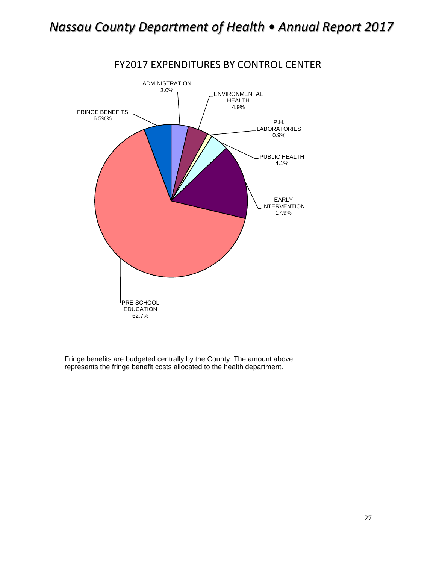

### FY2017 EXPENDITURES BY CONTROL CENTER

Fringe benefits are budgeted centrally by the County. The amount above represents the fringe benefit costs allocated to the health department.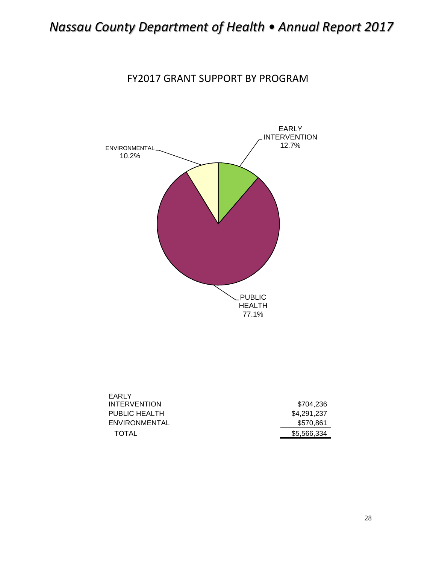FY2017 GRANT SUPPORT BY PROGRAM



| EARLY                |             |
|----------------------|-------------|
| <b>INTERVENTION</b>  | \$704.236   |
| PUBLIC HEALTH        | \$4.291.237 |
| <b>ENVIRONMENTAL</b> | \$570.861   |
| TOTAL                | \$5,566,334 |
|                      |             |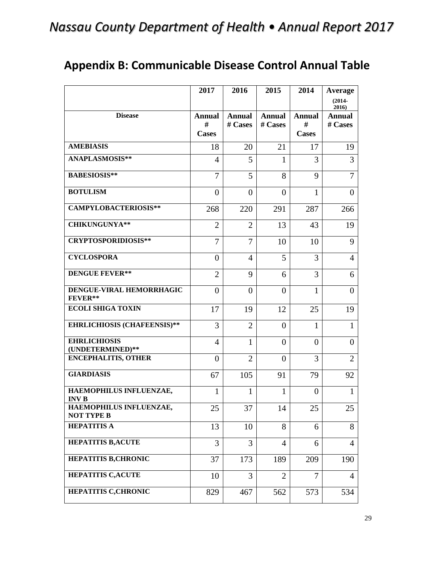<span id="page-28-0"></span>

|                                              | 2017           | 2016           | 2015           | 2014           | <b>Average</b>     |
|----------------------------------------------|----------------|----------------|----------------|----------------|--------------------|
|                                              |                |                |                |                | $(2014 -$<br>2016) |
| <b>Disease</b>                               | <b>Annual</b>  | <b>Annual</b>  | <b>Annual</b>  | <b>Annual</b>  | <b>Annual</b>      |
|                                              | #              | # Cases        | # Cases        | #              | # Cases            |
|                                              | <b>Cases</b>   |                |                | <b>Cases</b>   |                    |
| <b>AMEBIASIS</b>                             | 18             | 20             | 21             | 17             | 19                 |
| <b>ANAPLASMOSIS**</b>                        | $\overline{4}$ | 5              | 1              | 3              | 3                  |
| <b>BABESIOSIS**</b>                          | 7              | 5              | 8              | 9              | 7                  |
| <b>BOTULISM</b>                              | $\overline{0}$ | $\theta$       | $\theta$       | 1              | $\overline{0}$     |
| <b>CAMPYLOBACTERIOSIS**</b>                  | 268            | 220            | 291            | 287            | 266                |
| <b>CHIKUNGUNYA**</b>                         | $\overline{2}$ | $\overline{2}$ | 13             | 43             | 19                 |
| <b>CRYPTOSPORIDIOSIS**</b>                   | $\overline{7}$ | 7              | 10             | 10             | 9                  |
| <b>CYCLOSPORA</b>                            | $\overline{0}$ | 4              | 5              | 3              | $\overline{4}$     |
| <b>DENGUE FEVER**</b>                        | $\overline{2}$ | 9              | 6              | 3              | 6                  |
| DENGUE-VIRAL HEMORRHAGIC<br>FEVER**          | $\theta$       | $\theta$       | $\theta$       | $\mathbf{1}$   | $\overline{0}$     |
| <b>ECOLI SHIGA TOXIN</b>                     | 17             | 19             | 12             | 25             | 19                 |
| <b>EHRLICHIOSIS (CHAFEENSIS)**</b>           | 3              | $\overline{2}$ | $\Omega$       | $\mathbf{1}$   | $\mathbf{1}$       |
| <b>EHRLICHIOSIS</b><br>(UNDETERMINED)**      | 4              | $\mathbf{1}$   | $\Omega$       | $\Omega$       | $\overline{0}$     |
| <b>ENCEPHALITIS, OTHER</b>                   | $\overline{0}$ | $\overline{2}$ | $\Omega$       | 3              | $\overline{2}$     |
| <b>GIARDIASIS</b>                            | 67             | 105            | 91             | 79             | 92                 |
| HAEMOPHILUS INFLUENZAE,<br><b>INVB</b>       | $\mathbf{1}$   | $\mathbf{1}$   | $\mathbf{1}$   | $\mathbf{0}$   | $\mathbf{1}$       |
| HAEMOPHILUS INFLUENZAE,<br><b>NOT TYPE B</b> | 25             | 37             | 14             | 25             | 25                 |
| <b>HEPATITIS A</b>                           | 13             | 10             | 8              | 6              | 8                  |
| <b>HEPATITIS B,ACUTE</b>                     | 3              | 3              | $\overline{4}$ | 6              | $\overline{4}$     |
| <b>HEPATITIS B, CHRONIC</b>                  | 37             | 173            | 189            | 209            | 190                |
| <b>HEPATITIS C,ACUTE</b>                     | 10             | 3              | $\overline{2}$ | $\overline{7}$ | $\overline{4}$     |
| HEPATITIS C, CHRONIC                         | 829            | 467            | 562            | 573            | 534                |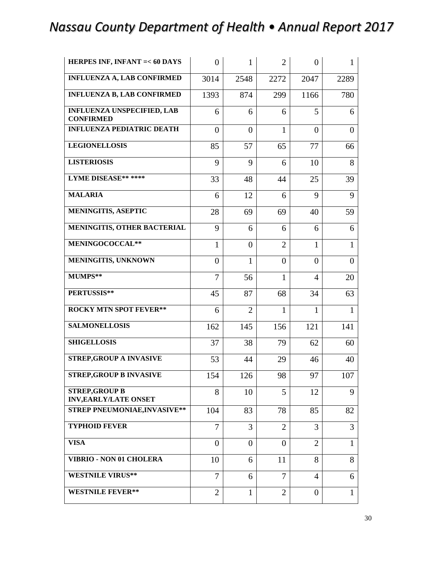| HERPES INF, INFANT = < 60 DAYS                        | $\overline{0}$ | $\mathbf{1}$   | $\overline{2}$ | $\overline{0}$ | 1              |
|-------------------------------------------------------|----------------|----------------|----------------|----------------|----------------|
| <b>INFLUENZA A, LAB CONFIRMED</b>                     | 3014           | 2548           | 2272           | 2047           | 2289           |
| <b>INFLUENZA B, LAB CONFIRMED</b>                     | 1393           | 874            | 299            | 1166           | 780            |
| <b>INFLUENZA UNSPECIFIED, LAB</b><br><b>CONFIRMED</b> | 6              | 6              | 6              | 5              | 6              |
| <b>INFLUENZA PEDIATRIC DEATH</b>                      | $\overline{0}$ | $\overline{0}$ | 1              | $\overline{0}$ | $\overline{0}$ |
| <b>LEGIONELLOSIS</b>                                  | 85             | 57             | 65             | 77             | 66             |
| <b>LISTERIOSIS</b>                                    | 9              | 9              | 6              | 10             | 8              |
| <b>LYME DISEASE*******</b>                            | 33             | 48             | 44             | 25             | 39             |
| <b>MALARIA</b>                                        | 6              | 12             | 6              | 9              | 9              |
| <b>MENINGITIS, ASEPTIC</b>                            | 28             | 69             | 69             | 40             | 59             |
| MENINGITIS, OTHER BACTERIAL                           | 9              | 6              | 6              | 6              | 6              |
| MENINGOCOCCAL**                                       | $\mathbf{1}$   | $\theta$       | $\overline{2}$ | $\mathbf{1}$   | $\mathbf{1}$   |
| MENINGITIS, UNKNOWN                                   | $\overline{0}$ | $\mathbf{1}$   | $\overline{0}$ | $\theta$       | $\overline{0}$ |
| MUMPS**                                               | 7              | 56             | $\mathbf{1}$   | $\overline{4}$ | 20             |
| PERTUSSIS**                                           | 45             | 87             | 68             | 34             | 63             |
| <b>ROCKY MTN SPOT FEVER**</b>                         | 6              | $\overline{2}$ | $\mathbf{1}$   | $\mathbf{1}$   | $\mathbf{1}$   |
| <b>SALMONELLOSIS</b>                                  | 162            | 145            | 156            | 121            | 141            |
| <b>SHIGELLOSIS</b>                                    | 37             | 38             | 79             | 62             | 60             |
| STREP, GROUP A INVASIVE                               | 53             | 44             | 29             | 46             | 40             |
| <b>STREP, GROUP B INVASIVE</b>                        | 154            | 126            | 98             | 97             | 107            |
| <b>STREP, GROUP B</b><br><b>INV, EARLY/LATE ONSET</b> | 8              | 10             | 5              | 12             | 9              |
| <b>STREP PNEUMONIAE, INVASIVE**</b>                   | 104            | 83             | 78             | 85             | 82             |
| <b>TYPHOID FEVER</b>                                  | 7              | 3              | $\overline{2}$ | 3              | 3              |
| <b>VISA</b>                                           | $\overline{0}$ | $\overline{0}$ | $\Omega$       | $\overline{2}$ | $\mathbf{1}$   |
| <b>VIBRIO - NON 01 CHOLERA</b>                        | 10             | 6              | 11             | 8              | 8              |
| <b>WESTNILE VIRUS**</b>                               | 7              | 6              | 7              | $\overline{4}$ | 6              |
| <b>WESTNILE FEVER**</b>                               | $\overline{2}$ | 1              | $\overline{2}$ | $\overline{0}$ | 1              |